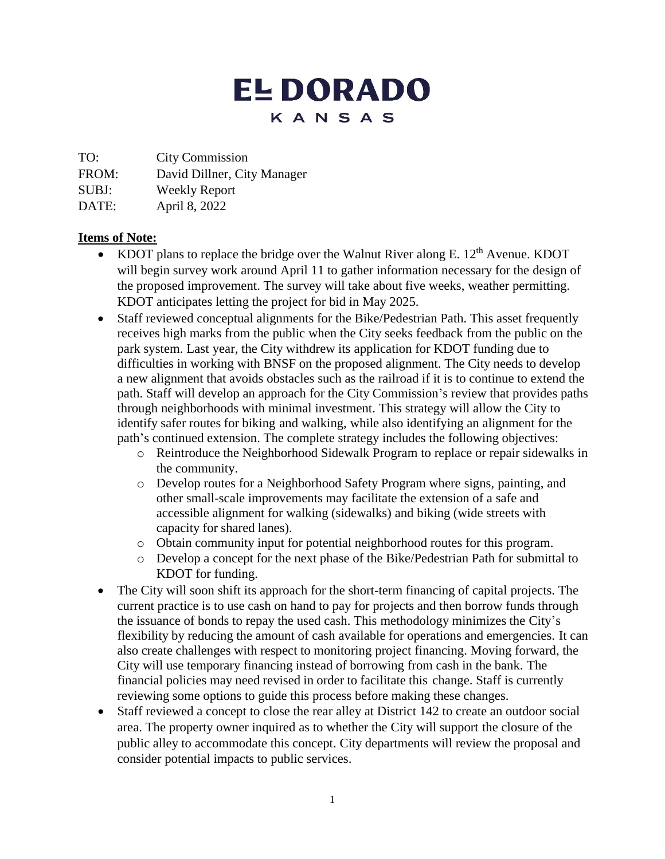## **EL DORADO** KANSAS

TO: City Commission

FROM: David Dillner, City Manager

SUBJ: Weekly Report

DATE: April 8, 2022

## **Items of Note:**

- KDOT plans to replace the bridge over the Walnut River along E.  $12<sup>th</sup>$  Avenue. KDOT will begin survey work around April 11 to gather information necessary for the design of the proposed improvement. The survey will take about five weeks, weather permitting. KDOT anticipates letting the project for bid in May 2025.
- Staff reviewed conceptual alignments for the Bike/Pedestrian Path. This asset frequently receives high marks from the public when the City seeks feedback from the public on the park system. Last year, the City withdrew its application for KDOT funding due to difficulties in working with BNSF on the proposed alignment. The City needs to develop a new alignment that avoids obstacles such as the railroad if it is to continue to extend the path. Staff will develop an approach for the City Commission's review that provides paths through neighborhoods with minimal investment. This strategy will allow the City to identify safer routes for biking and walking, while also identifying an alignment for the path's continued extension. The complete strategy includes the following objectives:
	- o Reintroduce the Neighborhood Sidewalk Program to replace or repair sidewalks in the community.
	- o Develop routes for a Neighborhood Safety Program where signs, painting, and other small-scale improvements may facilitate the extension of a safe and accessible alignment for walking (sidewalks) and biking (wide streets with capacity for shared lanes).
	- o Obtain community input for potential neighborhood routes for this program.
	- o Develop a concept for the next phase of the Bike/Pedestrian Path for submittal to KDOT for funding.
- The City will soon shift its approach for the short-term financing of capital projects. The current practice is to use cash on hand to pay for projects and then borrow funds through the issuance of bonds to repay the used cash. This methodology minimizes the City's flexibility by reducing the amount of cash available for operations and emergencies. It can also create challenges with respect to monitoring project financing. Moving forward, the City will use temporary financing instead of borrowing from cash in the bank. The financial policies may need revised in order to facilitate this change. Staff is currently reviewing some options to guide this process before making these changes.
- Staff reviewed a concept to close the rear alley at District 142 to create an outdoor social area. The property owner inquired as to whether the City will support the closure of the public alley to accommodate this concept. City departments will review the proposal and consider potential impacts to public services.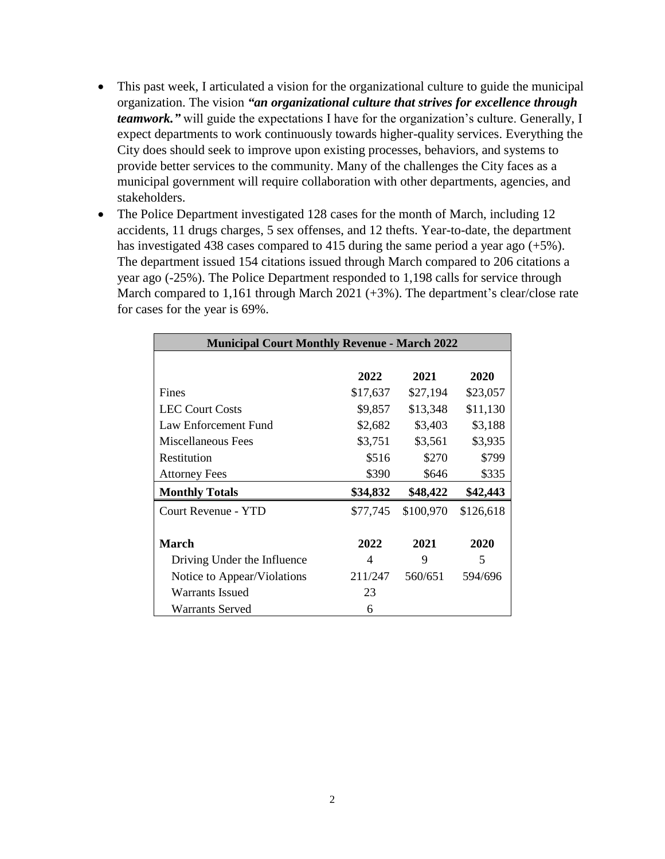- This past week, I articulated a vision for the organizational culture to guide the municipal organization. The vision *"an organizational culture that strives for excellence through teamwork."* will guide the expectations I have for the organization's culture. Generally, I expect departments to work continuously towards higher-quality services. Everything the City does should seek to improve upon existing processes, behaviors, and systems to provide better services to the community. Many of the challenges the City faces as a municipal government will require collaboration with other departments, agencies, and stakeholders.
- The Police Department investigated 128 cases for the month of March, including 12 accidents, 11 drugs charges, 5 sex offenses, and 12 thefts. Year-to-date, the department has investigated 438 cases compared to 415 during the same period a year ago (+5%). The department issued 154 citations issued through March compared to 206 citations a year ago (-25%). The Police Department responded to 1,198 calls for service through March compared to 1,161 through March 2021 (+3%). The department's clear/close rate for cases for the year is 69%.

| <b>Municipal Court Monthly Revenue - March 2022</b> |          |           |           |
|-----------------------------------------------------|----------|-----------|-----------|
|                                                     |          |           |           |
|                                                     | 2022     | 2021      | 2020      |
| Fines                                               | \$17,637 | \$27,194  | \$23,057  |
| <b>LEC Court Costs</b>                              | \$9,857  | \$13,348  | \$11,130  |
| Law Enforcement Fund                                | \$2,682  | \$3,403   | \$3,188   |
| Miscellaneous Fees                                  | \$3,751  | \$3,561   | \$3,935   |
| Restitution                                         | \$516    | \$270     | \$799     |
| <b>Attorney Fees</b>                                | \$390    | \$646     | \$335     |
| <b>Monthly Totals</b>                               | \$34,832 | \$48,422  | \$42,443  |
| <b>Court Revenue - YTD</b>                          | \$77,745 | \$100,970 | \$126,618 |
| <b>March</b>                                        | 2022     | 2021      | 2020      |
|                                                     |          |           |           |
| Driving Under the Influence                         | 4        | 9         | 5         |
| Notice to Appear/Violations                         | 211/247  | 560/651   | 594/696   |
| Warrants Issued                                     | 23       |           |           |
| <b>Warrants Served</b>                              | 6        |           |           |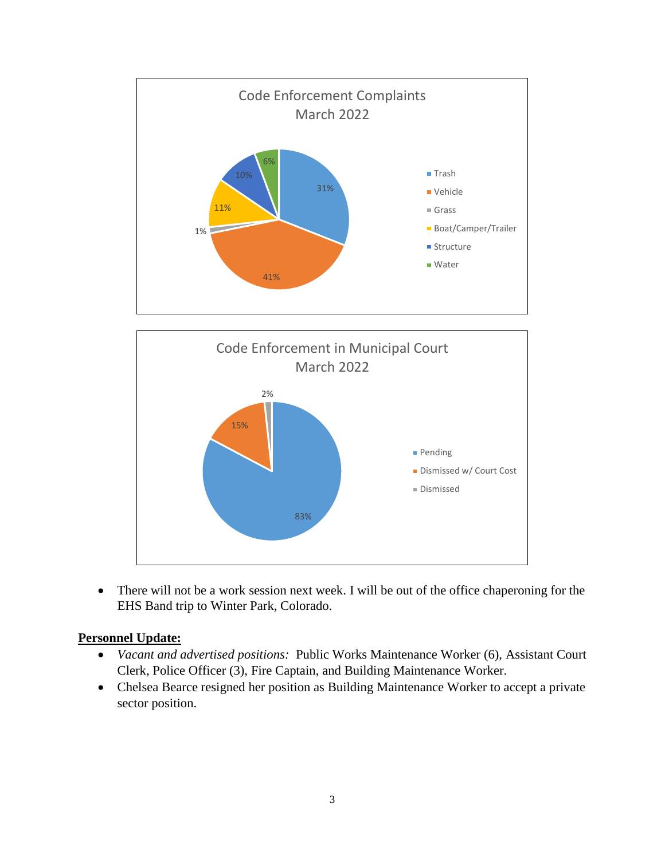



• There will not be a work session next week. I will be out of the office chaperoning for the EHS Band trip to Winter Park, Colorado.

## **Personnel Update:**

- *Vacant and advertised positions:* Public Works Maintenance Worker (6), Assistant Court Clerk, Police Officer (3), Fire Captain, and Building Maintenance Worker.
- Chelsea Bearce resigned her position as Building Maintenance Worker to accept a private sector position.